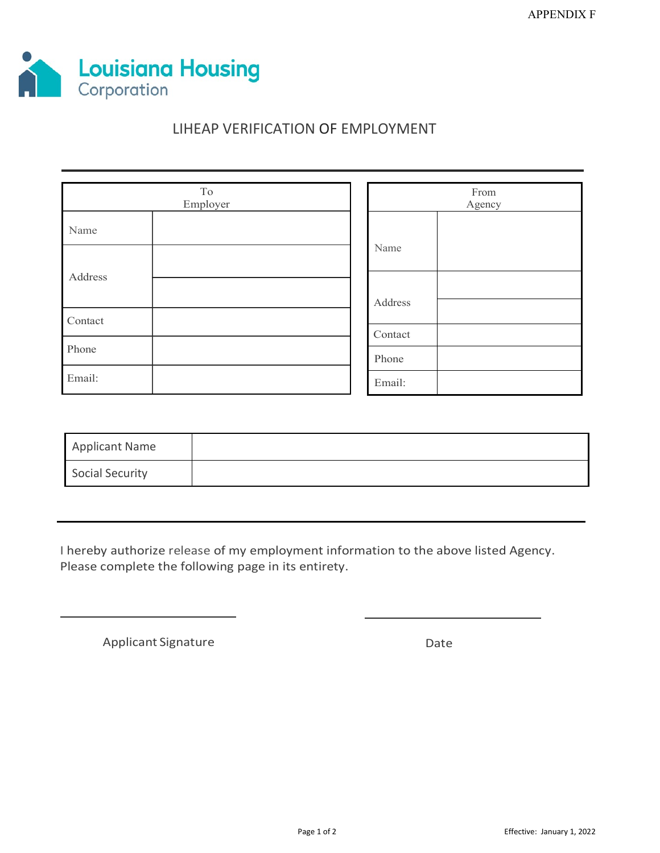

# LIHEAP VERIFICATION OF EMPLOYMENT

| To<br>Employer |  |  | From<br>Agency |  |  |
|----------------|--|--|----------------|--|--|
| Name           |  |  |                |  |  |
|                |  |  | Name           |  |  |
| Address        |  |  |                |  |  |
| Contact        |  |  | Address        |  |  |
|                |  |  | Contact        |  |  |
| Phone          |  |  | Phone          |  |  |
| Email:         |  |  | Email:         |  |  |

| Applicant Name         |  |
|------------------------|--|
| <b>Social Security</b> |  |

I hereby authorize release of my employment information to the above listed Agency. Please complete the following page in its entirety.

Applicant Signature Date